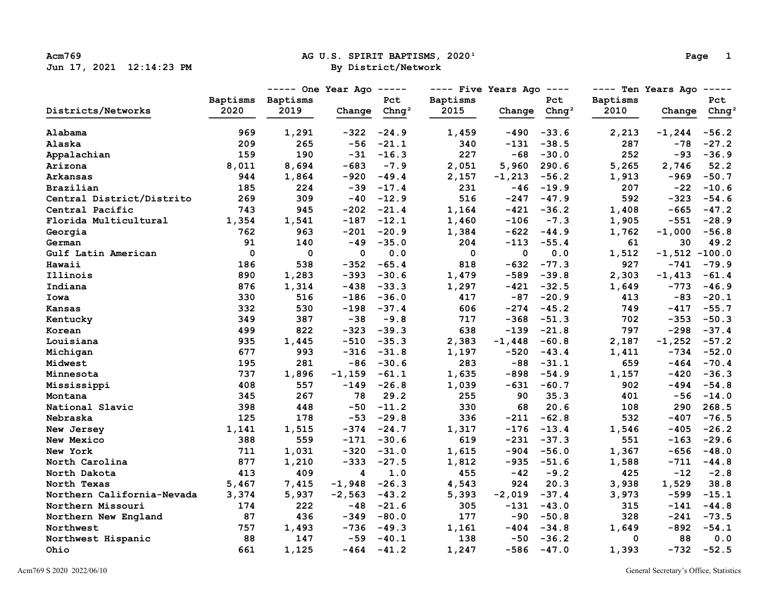# Acm769 **Acm769 AG U.S. SPIRIT BAPTISMS, 2020**<sup>1</sup> **Page 12:14:23 PM Page 12:14:23 PM Page 12:14:23 PM Page 12:14:23 PM Page 12:14:23 PM**

| ה ב |  |
|-----|--|
|-----|--|

|                            |             | $---$ One Year Ago $---$ |             |                   | $---$ Five Years Ago $---$ |             |          | ---- Ten Years Ago ----- |                 |          |
|----------------------------|-------------|--------------------------|-------------|-------------------|----------------------------|-------------|----------|--------------------------|-----------------|----------|
|                            |             | Baptisms Baptisms        |             | Pct               | Baptisms                   |             | Pct      | Baptisms                 |                 | Pct      |
| Districts/Networks         | 2020        | 2019                     | Change      | Chnq <sup>2</sup> | 2015                       | Change      | $Chnq^2$ | 2010                     | Change          | $Chnq^2$ |
| Alabama                    | 969         | 1,291                    | $-322$      | $-24.9$           | 1,459                      | $-490$      | $-33.6$  | 2,213                    | $-1, 244$       | $-56.2$  |
| Alaska                     | 209         | 265                      | $-56$       | $-21.1$           | 340                        | $-131$      | $-38.5$  | 287                      | $-78$           | $-27.2$  |
| Appalachian                | 159         | 190                      | $-31$       | $-16.3$           | 227                        | $-68$       | $-30.0$  | 252                      | $-93$           | $-36.9$  |
| Arizona                    | 8,011       | 8,694                    | -683        | $-7.9$            | 2,051                      | 5,960       | 290.6    | 5,265                    | 2,746           | 52.2     |
| Arkansas                   | 944         | 1,864                    | $-920$      | $-49.4$           | 2,157                      | $-1,213$    | $-56.2$  | 1,913                    | $-969$          | $-50.7$  |
| Brazilian                  | 185         | 224                      | $-39$       | $-17.4$           | 231                        | $-46$       | $-19.9$  | 207                      | $-22$           | $-10.6$  |
| Central District/Distrito  | 269         | 309                      | $-40$       | $-12.9$           | 516                        | $-247$      | $-47.9$  | 592                      | $-323$          | $-54.6$  |
| Central Pacific            | 743         | 945                      | $-202$      | $-21.4$           | 1,164                      | $-421$      | $-36.2$  | 1,408                    | $-665$          | $-47.2$  |
| Florida Multicultural      | 1,354       | 1,541                    | $-187$      | $-12.1$           | 1,460                      | $-106$      | $-7.3$   | 1,905                    | $-551$          | $-28.9$  |
| Georgia                    | 762         | 963                      | $-201$      | $-20.9$           | 1,384                      | $-622$      | $-44.9$  | 1,762                    | $-1,000$        | $-56.8$  |
| German                     | 91          | 140                      | $-49$       | $-35.0$           | 204                        | $-113$      | $-55.4$  | 61                       | 30              | 49.2     |
| Gulf Latin American        | $\mathbf 0$ | $\mathbf 0$              | $\mathbf 0$ | 0.0               | $\mathbf 0$                | $\mathbf 0$ | 0.0      | 1,512                    | $-1,512 -100.0$ |          |
| Hawaii                     | 186         | 538                      | -352        | $-65.4$           | 818                        | $-632$      | $-77.3$  | 927                      | $-741$          | $-79.9$  |
| Illinois                   | 890         | 1,283                    | $-393$      | $-30.6$           | 1,479                      | $-589$      | $-39.8$  | 2,303                    | $-1,413$        | $-61.4$  |
| Indiana                    | 876         | 1,314                    | $-438$      | $-33.3$           | 1,297                      | $-421$      | $-32.5$  | 1,649                    | $-773$          | $-46.9$  |
| Iowa                       | 330         | 516                      | $-186$      | $-36.0$           | 417                        | -87         | $-20.9$  | 413                      | -83             | $-20.1$  |
| Kansas                     | 332         | 530                      | $-198$      | $-37.4$           | 606                        | $-274$      | $-45.2$  | 749                      | $-417$          | $-55.7$  |
| Kentucky                   | 349         | 387                      | $-38$       | $-9.8$            | 717                        | $-368$      | $-51.3$  | 702                      | $-353$          | $-50.3$  |
| Korean                     | 499         | 822                      | $-323$      | $-39.3$           | 638                        | $-139$      | $-21.8$  | 797                      | $-298$          | $-37.4$  |
| Louisiana                  | 935         | 1,445                    | $-510$      | $-35.3$           | 2,383                      | $-1,448$    | $-60.8$  | 2,187                    | $-1,252$        | $-57.2$  |
| Michigan                   | 677         | 993                      | -316        | $-31.8$           | 1,197                      | $-520$      | $-43.4$  | 1,411                    | -734            | $-52.0$  |
| Midwest                    | 195         | 281                      | $-86$       | $-30.6$           | 283                        | $-88$       | $-31.1$  | 659                      | $-464$          | $-70.4$  |
| Minnesota                  | 737         | 1,896                    | $-1, 159$   | $-61.1$           | 1,635                      | $-898$      | $-54.9$  | 1,157                    | -420            | $-36.3$  |
| Mississippi                | 408         | 557                      | -149        | $-26.8$           | 1,039                      | $-631$      | $-60.7$  | 902                      | -494            | $-54.8$  |
| Montana                    | 345         | 267                      | 78          | 29.2              | 255                        | 90          | 35.3     | 401                      | $-56$           | $-14.0$  |
| National Slavic            | 398         | 448                      | $-50$       | $-11.2$           | 330                        | 68          | 20.6     | 108                      | 290             | 268.5    |
| Nebraska                   | 125         | 178                      | $-53$       | $-29.8$           | 336                        | $-211$      | $-62.8$  | 532                      | $-407$          | $-76.5$  |
| New Jersey                 | 1,141       | 1,515                    | $-374$      | $-24.7$           | 1,317                      | $-176$      | $-13.4$  | 1,546                    | $-405$          | $-26.2$  |
| New Mexico                 | 388         | 559                      | $-171$      | $-30.6$           | 619                        | $-231$      | $-37.3$  | 551                      | $-163$          | $-29.6$  |
| New York                   | 711         | 1,031                    | $-320$      | $-31.0$           | 1,615                      | $-904$      | $-56.0$  | 1,367                    | $-656$          | $-48.0$  |
| North Carolina             | 877         | 1,210                    | $-333$      | $-27.5$           | 1,812                      | $-935$      | $-51.6$  | 1,588                    | -711            | $-44.8$  |
| North Dakota               | 413         | 409                      | 4           | 1.0               | 455                        | $-42$       | $-9.2$   | 425                      | $-12$           | $-2.8$   |
| North Texas                | 5,467       | 7,415                    | $-1,948$    | $-26.3$           | 4,543                      | 924         | 20.3     | 3,938                    | 1,529           | 38.8     |
| Northern California-Nevada | 3,374       | 5,937                    | $-2,563$    | $-43.2$           | 5,393                      | $-2,019$    | $-37.4$  | 3,973                    | -599            | $-15.1$  |
| Northern Missouri          | 174         | 222                      | $-48$       | $-21.6$           | 305                        | $-131$      | $-43.0$  | 315                      | $-141$          | $-44.8$  |
| Northern New England       | 87          | 436                      | $-349$      | $-80.0$           | 177                        | -90         | $-50.8$  | 328                      | $-241$          | $-73.5$  |
| Northwest                  | 757         | 1,493                    | $-736$      | $-49.3$           | 1,161                      | $-404$      | $-34.8$  | 1,649                    | $-892$          | $-54.1$  |
| Northwest Hispanic         | 88          | 147                      | $-59$       | $-40.1$           | 138                        | $-50$       | $-36.2$  | 0                        | 88              | 0.0      |
| Ohio                       | 661         | 1,125                    | $-464$      | $-41.2$           | 1,247                      | $-586$      | $-47.0$  | 1,393                    | $-732$          | $-52.5$  |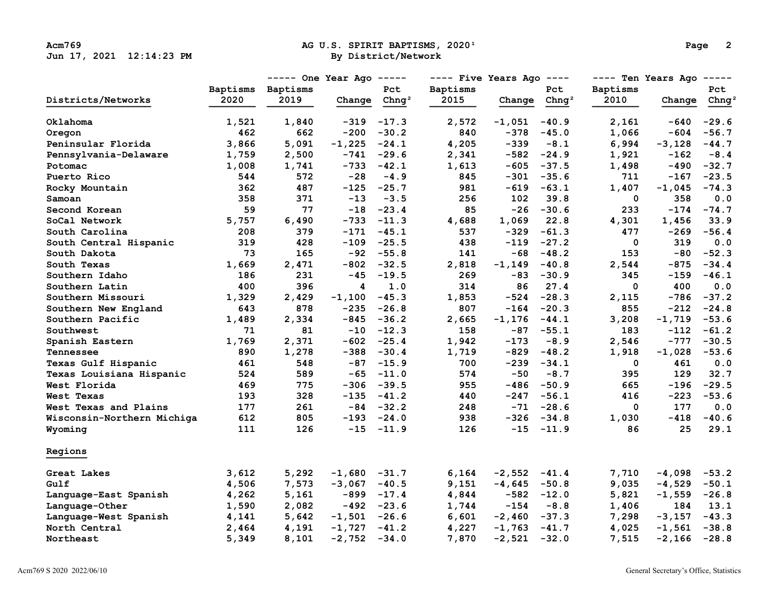### Acm769 **Acm769 AG U.S. SPIRIT BAPTISMS, 2020**<sup>1</sup> **Page 2**<br>  **By District/Network By District(Network**

|                            |          | $---$ One Year Ago $---$ |                 | $---$ Five Years Ago $---$ |          |                          | ---- Ten Years Ago ----- |              |                                                                                                                                                                                                                                                                                                                                                           |                   |
|----------------------------|----------|--------------------------|-----------------|----------------------------|----------|--------------------------|--------------------------|--------------|-----------------------------------------------------------------------------------------------------------------------------------------------------------------------------------------------------------------------------------------------------------------------------------------------------------------------------------------------------------|-------------------|
|                            | Baptisms | Baptisms                 |                 | Pct                        | Baptisms |                          | Pct                      | Baptisms     |                                                                                                                                                                                                                                                                                                                                                           | Pct               |
| Districts/Networks         | 2020     | 2019                     | Change          | Chnq <sup>2</sup>          | 2015     | Change Chng <sup>2</sup> |                          | 2010         | Change<br>-640<br>$-604$<br>$-3,128$<br>$-162$<br>-490<br>$-167$<br>$-1,045$<br>358<br>1,456<br>$-269$<br>319<br>-80<br>$-875$<br>$-159$<br>400<br>$-786$<br>-212<br>$-1,719$<br>$-112$<br>-777<br>$-1,028$<br>461<br>129<br>$-196$<br>$-223$<br>177<br>$-418$<br>25<br>$-4,098$<br>$-4,529$<br>$-1,559$<br>184<br>$-3,157$<br>$-1,561$<br>$-2,166 -28.8$ | Chnq <sup>2</sup> |
| Oklahoma                   | 1,521    | 1,840                    | $-319$          | $-17.3$                    | 2,572    | -1,051                   | $-40.9$                  | 2,161        |                                                                                                                                                                                                                                                                                                                                                           | $-29.6$           |
| Oregon                     | 462      | 662                      | $-200$          | $-30.2$                    | 840      | $-378$                   | $-45.0$                  | 1,066        |                                                                                                                                                                                                                                                                                                                                                           | $-56.7$           |
| Peninsular Florida         | 3,866    | 5,091                    | $-1,225$        | $-24.1$                    | 4,205    | $-339$                   | $-8.1$                   | 6,994        |                                                                                                                                                                                                                                                                                                                                                           | $-44.7$           |
| Pennsylvania-Delaware      | 1,759    | 2,500                    |                 | $-741 - 29.6$              | 2,341    |                          | $-582 -24.9$             | 1,921        |                                                                                                                                                                                                                                                                                                                                                           | $-8.4$            |
| Potomac                    | 1,008    | 1,741                    | -733            | $-42.1$                    | 1,613    |                          | $-605 -37.5$             | 1,498        |                                                                                                                                                                                                                                                                                                                                                           | $-32.7$           |
| Puerto Rico                | 544      | 572                      | $-28$           | $-4.9$                     | 845      |                          | $-301 - 35.6$            | 711          |                                                                                                                                                                                                                                                                                                                                                           | $-23.5$           |
| Rocky Mountain             | 362      | 487                      | $-125$          | $-25.7$                    | 981      |                          | $-619 -63.1$             | 1,407        |                                                                                                                                                                                                                                                                                                                                                           | $-74.3$           |
| Samoan                     | 358      | 371                      | $-13$           | $-3.5$                     | 256      | 102                      | 39.8                     | 0            |                                                                                                                                                                                                                                                                                                                                                           | 0.0               |
| Second Korean              | 59       | 77                       | $-18$           | $-23.4$                    | 85       |                          | $-26 - 30.6$             | 233          |                                                                                                                                                                                                                                                                                                                                                           | $-174 - 74.7$     |
| SoCal Network              | 5,757    | 6,490                    |                 | $-733 - 11.3$              | 4,688    | 1,069                    | 22.8                     | 4,301        |                                                                                                                                                                                                                                                                                                                                                           | 33.9              |
| South Carolina             | 208      | 379                      |                 | $-171 - 45.1$              | 537      |                          | $-329 -61.3$             | 477          |                                                                                                                                                                                                                                                                                                                                                           | $-56.4$           |
| South Central Hispanic     | 319      | 428                      |                 | $-109 -25.5$               | 438      |                          | $-119 -27.2$             | 0            |                                                                                                                                                                                                                                                                                                                                                           | 0.0               |
| South Dakota               | 73       | 165                      | $-92$           | $-55.8$                    | 141      | $-68$                    | $-48.2$                  | 153          |                                                                                                                                                                                                                                                                                                                                                           | $-52.3$           |
| South Texas                | 1,669    | 2,471                    | $-802$          | $-32.5$                    | 2,818    | $-1, 149$                | $-40.8$                  | 2,544        |                                                                                                                                                                                                                                                                                                                                                           | $-34.4$           |
| Southern Idaho             | 186      | 231                      | $-45$           | $-19.5$                    | 269      |                          | $-83 - 30.9$             | 345          |                                                                                                                                                                                                                                                                                                                                                           | $-46.1$           |
| Southern Latin             | 400      | 396                      | 4               | 1.0                        | 314      | 86                       | 27.4                     | $\mathbf{0}$ |                                                                                                                                                                                                                                                                                                                                                           | 0.0               |
| Southern Missouri          | 1,329    | 2,429                    | $-1,100$        | $-45.3$                    | 1,853    |                          | $-524 -28.3$             | 2,115        |                                                                                                                                                                                                                                                                                                                                                           | $-37.2$           |
| Southern New England       | 643      | 878                      |                 | $-235 -26.8$               | 807      |                          | $-164 - 20.3$            | 855          |                                                                                                                                                                                                                                                                                                                                                           | $-24.8$           |
| Southern Pacific           | 1,489    | 2,334                    |                 | $-845 - 36.2$              | 2,665    | $-1, 176$                | $-44.1$                  | 3,208        |                                                                                                                                                                                                                                                                                                                                                           | $-53.6$           |
| Southwest                  | 71       | 81                       | $-10$           | $-12.3$                    | 158      |                          | $-87 - 55.1$             | 183          |                                                                                                                                                                                                                                                                                                                                                           | $-61.2$           |
| Spanish Eastern            | 1,769    | 2,371                    | -602            | $-25.4$                    | 1,942    | $-173$                   | $-8.9$                   | 2,546        |                                                                                                                                                                                                                                                                                                                                                           | $-30.5$           |
| Tennessee                  | 890      | 1,278                    |                 | $-388 - 30.4$              | 1,719    |                          | $-829 - 48.2$            | 1,918        |                                                                                                                                                                                                                                                                                                                                                           | $-53.6$           |
| Texas Gulf Hispanic        | 461      | 548                      |                 | $-87 - 15.9$               | 700      |                          | $-239 -34.1$             | $\mathbf 0$  |                                                                                                                                                                                                                                                                                                                                                           | 0.0               |
| Texas Louisiana Hispanic   | 524      | 589                      | $-65$           | $-11.0$                    | 574      | $-50$                    | $-8.7$                   | 395          |                                                                                                                                                                                                                                                                                                                                                           | 32.7              |
| West Florida               | 469      | 775                      |                 | $-306 - 39.5$              | 955      |                          | $-486 - 50.9$            | 665          |                                                                                                                                                                                                                                                                                                                                                           | $-29.5$           |
| West Texas                 | 193      | 328                      |                 | $-135 - 41.2$              | 440      |                          | $-247 - 56.1$            | 416          |                                                                                                                                                                                                                                                                                                                                                           | $-53.6$           |
| West Texas and Plains      | 177      | 261                      |                 | $-84 - 32.2$               | 248      |                          | $-71 - 28.6$             | 0            |                                                                                                                                                                                                                                                                                                                                                           | 0.0               |
| Wisconsin-Northern Michiga | 612      | 805                      |                 | $-193 -24.0$               | 938      |                          | $-326 -34.8$             | 1,030        |                                                                                                                                                                                                                                                                                                                                                           | $-40.6$           |
| Wyoming                    | 111      | 126                      |                 | $-15 - 11.9$               | 126      |                          | $-15 - 11.9$             | 86           |                                                                                                                                                                                                                                                                                                                                                           | 29.1              |
| Regions                    |          |                          |                 |                            |          |                          |                          |              |                                                                                                                                                                                                                                                                                                                                                           |                   |
| Great Lakes                | 3,612    | 5,292                    | $-1,680 -31.7$  |                            | 6,164    | $-2,552 -41.4$           |                          | 7,710        |                                                                                                                                                                                                                                                                                                                                                           | $-53.2$           |
| Gulf                       | 4,506    | 7,573                    | $-3,067 - 40.5$ |                            | 9,151    | $-4,645 -50.8$           |                          | 9,035        |                                                                                                                                                                                                                                                                                                                                                           | $-50.1$           |
| Language-East Spanish      | 4,262    | 5,161                    |                 | $-899 - 17.4$              | 4,844    |                          | $-582 -12.0$             | 5,821        |                                                                                                                                                                                                                                                                                                                                                           | $-26.8$           |
| Language-Other             | 1,590    | 2,082                    |                 | $-492 -23.6$               | 1,744    | $-154$                   | $-8.8$                   | 1,406        |                                                                                                                                                                                                                                                                                                                                                           | 13.1              |
| Language-West Spanish      | 4,141    | 5,642                    | $-1,501 -26.6$  |                            | 6,601    | $-2,460 -37.3$           |                          | 7,298        |                                                                                                                                                                                                                                                                                                                                                           | $-43.3$           |
| North Central              | 2,464    | 4,191                    | $-1,727 -41.2$  |                            | 4,227    | $-1,763$ $-41.7$         |                          | 4,025        |                                                                                                                                                                                                                                                                                                                                                           | $-38.8$           |
| Northeast                  | 5,349    | 8,101                    | $-2,752 -34.0$  |                            | 7,870    | $-2,521 -32.0$           |                          | 7,515        |                                                                                                                                                                                                                                                                                                                                                           |                   |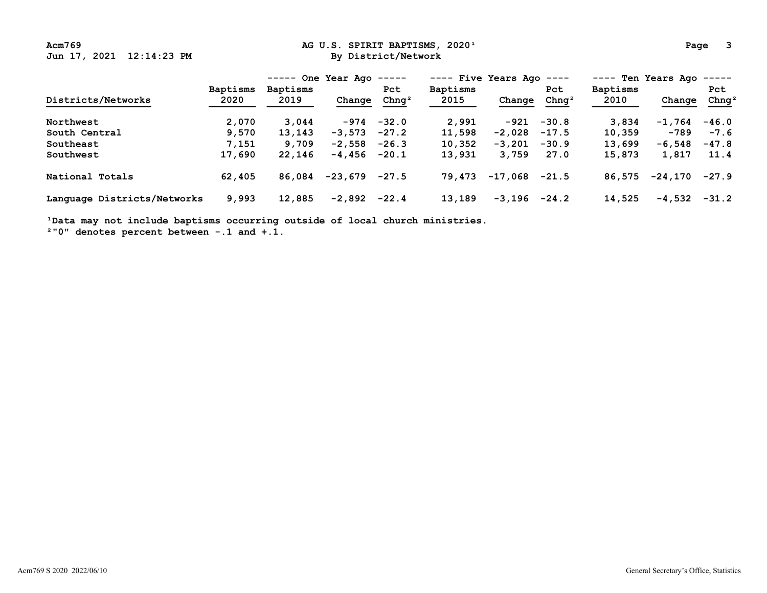Acm769 **Ag U.S. SPIRIT BAPTISMS, 2020**<sup>1</sup> **Page 3 Page 3 Page 3 Page 3 Page 3 Page 3 Page 3 Page 3 Page 3 Page 3 Page 3 Page 3 Page 3 Page 3 Page 3 Page 3 Page 3 Page 3 Page 3 Page 3**

|                             |                 | $---$ One Year Ago $---$ |          |                   | ---- Five Years Ago |           | $- - - - -$       | ---- Ten Years Ago<br>$- - - - - -$ |          |                   |
|-----------------------------|-----------------|--------------------------|----------|-------------------|---------------------|-----------|-------------------|-------------------------------------|----------|-------------------|
|                             | <b>Baptisms</b> | Baptisms                 |          | Pct               | <b>Baptisms</b>     |           | Pct               | <b>Baptisms</b>                     |          | Pct               |
| Districts/Networks          | 2020            | 2019                     | Change   | Chnq <sup>2</sup> | 2015                | Change    | Chnq <sup>2</sup> | 2010                                | Change   | Chnq <sup>2</sup> |
| Northwest                   | 2,070           | 3,044                    | -974     | $-32.0$           | 2,991               | -921      | $-30.8$           | 3,834                               | $-1,764$ | $-46.0$           |
| South Central               | 9,570           | 13,143                   | $-3,573$ | $-27.2$           | 11,598              | $-2,028$  | $-17.5$           | 10,359                              | $-789$   | $-7.6$            |
| Southeast                   | 7,151           | 9,709                    | $-2,558$ | $-26.3$           | 10,352              | $-3,201$  | $-30.9$           | 13,699                              | $-6,548$ | $-47.8$           |
| Southwest                   | 17,690          | 22,146                   | -4,456   | $-20.1$           | 13,931              | 3,759     | 27.0              | 15,873                              | 1,817    | 11.4              |
| National Totals             | 62,405          | 86,084                   | -23,679  | $-27.5$           | 79,473              | $-17,068$ | $-21.5$           | 86,575                              | -24,170  | $-27.9$           |
| Language Districts/Networks | 9,993           | 12,885                   | $-2,892$ | $-22.4$           | 13,189              | $-3,196$  | $-24.2$           | 14,525                              | -4,532   | $-31.2$           |

<sup>1</sup>Data may not include baptisms occurring outside of local church ministries.

 **²"0" denotes percent between -.1 and +.1.**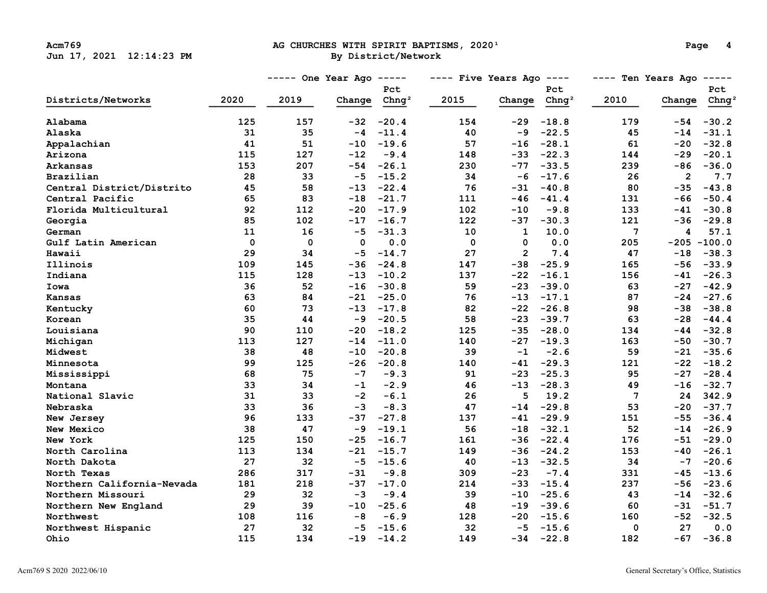# Acm769 **Acm769 AG CHURCHES WITH SPIRIT BAPTISMS, 2020**<sup>1</sup> **Page 4**<br> **By District/Network By District**/Network

|                            |             | ----- One Year Ago<br>$------$ |          |           | $---$ Five Years Ago $---$ |                |                   | ---- Ten Years Ago | $------$       |                   |
|----------------------------|-------------|--------------------------------|----------|-----------|----------------------------|----------------|-------------------|--------------------|----------------|-------------------|
|                            |             |                                |          | Pct       |                            |                | Pct               |                    |                | Pct               |
| Districts/Networks         | 2020        | 2019                           | Change   | Chnq $^2$ | 2015                       | Change         | Chnq <sup>2</sup> | 2010               | Change         | Chng <sup>2</sup> |
| Alabama                    | 125         | 157                            | $-32$    | $-20.4$   | 154                        | -29            | $-18.8$           | 179                | $-54$          | $-30.2$           |
| Alaska                     | 31          | 35                             | $-4$     | $-11.4$   | 40                         | -9             | $-22.5$           | 45                 | $-14$          | $-31.1$           |
| Appalachian                | 41          | 51                             | $-10$    | $-19.6$   | 57                         | $-16$          | $-28.1$           | 61                 | $-20$          | $-32.8$           |
| Arizona                    | 115         | 127                            | $-12$    | $-9.4$    | 148                        | $-33$          | $-22.3$           | 144                | $-29$          | $-20.1$           |
| Arkansas                   | 153         | 207                            | $-54$    | $-26.1$   | 230                        | $-77$          | $-33.5$           | 239                | -86            | $-36.0$           |
| Brazilian                  | 28          | 33                             | $-5$     | $-15.2$   | 34                         | $-6$           | $-17.6$           | 26                 | $\overline{2}$ | 7.7               |
| Central District/Distrito  | 45          | 58                             | $-13$    | $-22.4$   | 76                         | $-31$          | $-40.8$           | 80                 | $-35$          | $-43.8$           |
| Central Pacific            | 65          | 83                             | $-18$    | $-21.7$   | 111                        | $-46$          | $-41.4$           | 131                | $-66$          | $-50.4$           |
| Florida Multicultural      | 92          | 112                            | $-20$    | $-17.9$   | 102                        | $-10$          | $-9.8$            | 133                | $-41$          | $-30.8$           |
| Georgia                    | 85          | 102                            | -17      | $-16.7$   | 122                        | $-37$          | $-30.3$           | 121                | -36            | $-29.8$           |
| German                     | 11          | 16                             | $-5$     | $-31.3$   | 10                         | $\mathbf{1}$   | 10.0              | $7\phantom{.0}$    | 4              | 57.1              |
| Gulf Latin American        | $\mathbf 0$ | 0                              | $\Omega$ | 0.0       | $\mathbf{0}$               | $\Omega$       | 0.0               | 205                |                | $-205 - 100.0$    |
| Hawaii                     | 29          | 34                             | $-5$     | $-14.7$   | 27                         | $\overline{2}$ | 7.4               | 47                 | $-18$          | $-38.3$           |
| Illinois                   | 109         | 145                            | $-36$    | $-24.8$   | 147                        | $-38$          | $-25.9$           | 165                | -56            | $-33.9$           |
| Indiana                    | 115         | 128                            | $-13$    | $-10.2$   | 137                        | $-22$          | $-16.1$           | 156                | $-41$          | $-26.3$           |
| Iowa                       | 36          | 52                             | $-16$    | $-30.8$   | 59                         | $-23$          | $-39.0$           | 63                 | $-27$          | $-42.9$           |
| Kansas                     | 63          | 84                             | $-21$    | $-25.0$   | 76                         | $-13$          | $-17.1$           | 87                 | $-24$          | $-27.6$           |
| Kentucky                   | 60          | 73                             | $-13$    | $-17.8$   | 82                         | $-22$          | $-26.8$           | 98                 | $-38$          | $-38.8$           |
| Korean                     | 35          | 44                             | -9       | $-20.5$   | 58                         | $-23$          | $-39.7$           | 63                 | $-28$          | $-44.4$           |
| Louisiana                  | 90          | 110                            | $-20$    | $-18.2$   | 125                        | $-35$          | $-28.0$           | 134                | $-44$          | $-32.8$           |
| Michigan                   | 113         | 127                            | $-14$    | $-11.0$   | 140                        | -27            | $-19.3$           | 163                | $-50$          | $-30.7$           |
| Midwest                    | 38          | 48                             | $-10$    | $-20.8$   | 39                         | $-1$           | $-2.6$            | 59                 | $-21$          | $-35.6$           |
| Minnesota                  | 99          | 125                            | $-26$    | $-20.8$   | 140                        | -41            | $-29.3$           | 121                | $-22$          | $-18.2$           |
| Mississippi                | 68          | 75                             | $-7$     | $-9.3$    | 91                         | $-23$          | $-25.3$           | 95                 | $-27$          | $-28.4$           |
| Montana                    | 33          | 34                             | $-1$     | $-2.9$    | 46                         | $-13$          | $-28.3$           | 49                 | $-16$          | $-32.7$           |
| National Slavic            | 31          | 33                             | $-2$     | $-6.1$    | 26                         | 5              | 19.2              | 7                  | 24             | 342.9             |
| Nebraska                   | 33          | 36                             | $-3$     | $-8.3$    | 47                         | $-14$          | $-29.8$           | 53                 | -20            | $-37.7$           |
| New Jersey                 | 96          | 133                            | $-37$    | $-27.8$   | 137                        | $-41$          | $-29.9$           | 151                | $-55$          | $-36.4$           |
| New Mexico                 | 38          | 47                             | $-9$     | $-19.1$   | 56                         | $-18$          | $-32.1$           | 52                 | $-14$          | $-26.9$           |
| New York                   | 125         | 150                            | $-25$    | $-16.7$   | 161                        | $-36$          | $-22.4$           | 176                | $-51$          | $-29.0$           |
| North Carolina             | 113         | 134                            | $-21$    | $-15.7$   | 149                        | $-36$          | $-24.2$           | 153                | -40            | $-26.1$           |
| North Dakota               | 27          | 32                             | $-5$     | $-15.6$   | 40                         | $-13$          | $-32.5$           | 34                 | $-7$           | $-20.6$           |
| North Texas                | 286         | 317                            | -31      | $-9.8$    | 309                        | $-23$          | $-7.4$            | 331                | -45            | $-13.6$           |
| Northern California-Nevada | 181         | 218                            | $-37$    | $-17.0$   | 214                        | $-33$          | $-15.4$           | 237                | -56            | $-23.6$           |
| Northern Missouri          | 29          | 32                             | $-3$     | $-9.4$    | 39                         | $-10$          | $-25.6$           | 43                 | $-14$          | $-32.6$           |
| Northern New England       | 29          | 39                             | $-10$    | $-25.6$   | 48                         | $-19$          | $-39.6$           | 60                 | $-31$          | $-51.7$           |
| Northwest                  | 108         | 116                            | $-8$     | $-6.9$    | 128                        | -20            | $-15.6$           | 160                | $-52$          | $-32.5$           |
| Northwest Hispanic         | 27          | 32                             | $-5$     | $-15.6$   | 32                         | $-5$           | $-15.6$           | 0                  | 27             | $0.0$             |
| Ohio                       | 115         | 134                            | $-19$    | $-14.2$   | 149                        | -34            | $-22.8$           | 182                | $-67$          | $-36.8$           |
|                            |             |                                |          |           |                            |                |                   |                    |                |                   |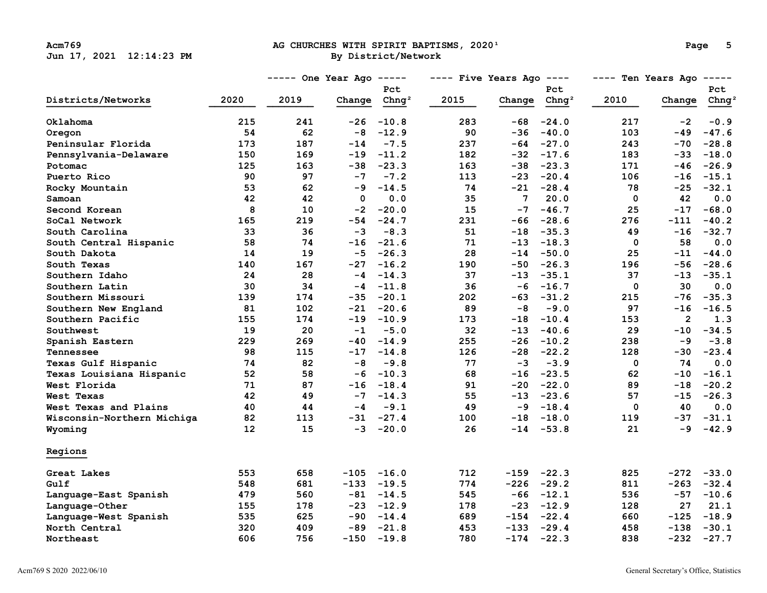# Acm769 **Acm769 AG CHURCHES WITH SPIRIT BAPTISMS, 2020**<sup>1</sup> **Page 5 Page 5 Page 5 Page 9 Page 8 Page 8 Page 8 Page 8 Page 8 Page 8 Page 8 Page 8 Page 8 Page 8 Page 8 Page 8 Page 8 Page 8**

|                            |      | $---$ One Year Ago $---$ |             |                   | $---$ Five Years Ago $---$ |                |               | $---$ Ten Years Ago $---$ |                |                   |
|----------------------------|------|--------------------------|-------------|-------------------|----------------------------|----------------|---------------|---------------------------|----------------|-------------------|
|                            |      |                          |             | <b>Pct</b>        |                            |                | Pct           |                           |                | Pct               |
| Districts/Networks         | 2020 | 2019                     | Change      | Chnq <sup>2</sup> | 2015                       | Change         | $Chnq^2$      | 2010                      | Change         | Chnq <sup>2</sup> |
| Oklahoma                   | 215  | 241                      | -26         | $-10.8$           | 283                        | -68            | $-24.0$       | 217                       | $-2$           | $-0.9$            |
| Oregon                     | 54   | 62                       | $-8$        | $-12.9$           | 90                         | $-36$          | $-40.0$       | 103                       | $-49$          | $-47.6$           |
| Peninsular Florida         | 173  | 187                      | $-14$       | $-7.5$            | 237                        | -64            | $-27.0$       | 243                       | -70            | $-28.8$           |
| Pennsylvania-Delaware      | 150  | 169                      | $-19$       | $-11.2$           | 182                        |                | $-32 -17.6$   | 183                       | -33            | $-18.0$           |
| Potomac                    | 125  | 163                      | -38         | $-23.3$           | 163                        | -38            | $-23.3$       | 171                       | $-46$          | $-26.9$           |
| Puerto Rico                | 90   | 97                       | $-7$        | $-7.2$            | 113                        | $-23$          | $-20.4$       | 106                       | -16            | $-15.1$           |
| Rocky Mountain             | 53   | 62                       | -9          | $-14.5$           | 74                         |                | $-21 - 28.4$  | 78                        | -25            | $-32.1$           |
| Samoan                     | 42   | 42                       | $\mathbf 0$ | 0.0               | 35                         | $\overline{7}$ | 20.0          | $\mathbf{0}$              | 42             | 0.0               |
| Second Korean              | 8    | 10                       | $-2$        | $-20.0$           | 15                         | $-7$           | $-46.7$       | 25                        | $-17$          | $-68.0$           |
| SoCal Network              | 165  | 219                      | -54         | $-24.7$           | 231                        |                | $-66 - 28.6$  | 276                       | -111           | $-40.2$           |
| South Carolina             | 33   | 36                       | $-3$        | $-8.3$            | 51                         | $-18$          | $-35.3$       | 49                        | $-16$          | $-32.7$           |
| South Central Hispanic     | 58   | 74                       | $-16$       | $-21.6$           | 71                         |                | $-13 - 18.3$  | 0                         | 58             | 0.0               |
| South Dakota               | 14   | 19                       | $-5$        | $-26.3$           | 28                         | $-14$          | $-50.0$       | 25                        | $-11$          | $-44.0$           |
| South Texas                | 140  | 167                      | $-27$       | $-16.2$           | 190                        |                | $-50 - 26.3$  | 196                       | -56            | $-28.6$           |
| Southern Idaho             | 24   | 28                       | $-4$        | $-14.3$           | 37                         |                | $-13 - 35.1$  | 37                        | -13            | $-35.1$           |
| Southern Latin             | 30   | 34                       | $-4$        | $-11.8$           | 36                         |                | $-6 - 16.7$   | 0                         | 30             | 0.0               |
| Southern Missouri          | 139  | 174                      | -35         | $-20.1$           | 202                        | -63            | $-31.2$       | 215                       | -76            | $-35.3$           |
| Southern New England       | 81   | 102                      | $-21$       | $-20.6$           | 89                         | $-8$           | $-9.0$        | 97                        | -16            | $-16.5$           |
| Southern Pacific           | 155  | 174                      | $-19$       | $-10.9$           | 173                        | $-18$          | $-10.4$       | 153                       | $\overline{2}$ | 1.3               |
| Southwest                  | 19   | 20                       | $-1$        | $-5.0$            | 32                         | $-13$          | $-40.6$       | 29                        | $-10$          | $-34.5$           |
| Spanish Eastern            | 229  | 269                      | $-40$       | $-14.9$           | 255                        | $-26$          | $-10.2$       | 238                       | -9             | $-3.8$            |
| Tennessee                  | 98   | 115                      | $-17$       | $-14.8$           | 126                        |                | $-28 - 22.2$  | 128                       | $-30$          | $-23.4$           |
| Texas Gulf Hispanic        | 74   | 82                       | $-8$        | $-9.8$            | 77                         | $-3$           | $-3.9$        | 0                         | 74             | 0.0               |
| Texas Louisiana Hispanic   | 52   | 58                       | $-6$        | $-10.3$           | 68                         |                | $-16 -23.5$   | 62                        | $-10$          | $-16.1$           |
| West Florida               | 71   | 87                       | $-16$       | $-18.4$           | 91                         |                | $-20 -22.0$   | 89                        | $-18$          | $-20.2$           |
| West Texas                 | 42   | 49                       | $-7$        | $-14.3$           | 55                         |                | $-13 - 23.6$  | 57                        | $-15$          | $-26.3$           |
| West Texas and Plains      | 40   | 44                       | $-4$        | $-9.1$            | 49                         |                | $-9 - 18.4$   | 0                         | 40             | 0.0               |
| Wisconsin-Northern Michiga | 82   | 113                      | $-31$       | $-27.4$           | 100                        | $-18$          | $-18.0$       | 119                       | $-37$          | $-31.1$           |
| Wyoming                    | 12   | 15                       | $-3$        | $-20.0$           | 26                         |                | $-14 - 53.8$  | 21                        | $-9$           | $-42.9$           |
| Regions                    |      |                          |             |                   |                            |                |               |                           |                |                   |
| Great Lakes                | 553  | 658                      |             | $-105 -16.0$      | 712                        |                | $-159 - 22.3$ | 825                       | -272           | $-33.0$           |
| Gulf                       | 548  | 681                      |             | $-133 - 19.5$     | 774                        |                | $-226 - 29.2$ | 811                       | $-263$         | $-32.4$           |
| Language-East Spanish      | 479  | 560                      | $-81$       | $-14.5$           | 545                        |                | $-66 -12.1$   | 536                       | -57            | $-10.6$           |
| Language-Other             | 155  | 178                      | -23         | $-12.9$           | 178                        |                | $-23 - 12.9$  | 128                       | 27             | 21.1              |
| Language-West Spanish      | 535  | 625                      | -90         | $-14.4$           | 689                        | $-154 -22.4$   |               | 660                       | $-125$         | $-18.9$           |
| North Central              | 320  | 409                      | -89         | $-21.8$           | 453                        | $-133 - 29.4$  |               | 458                       | $-138$         | $-30.1$           |
| Northeast                  | 606  | 756                      |             | $-150 - 19.8$     | 780                        | $-174 -22.3$   |               | 838                       | $-232$         | $-27.7$           |